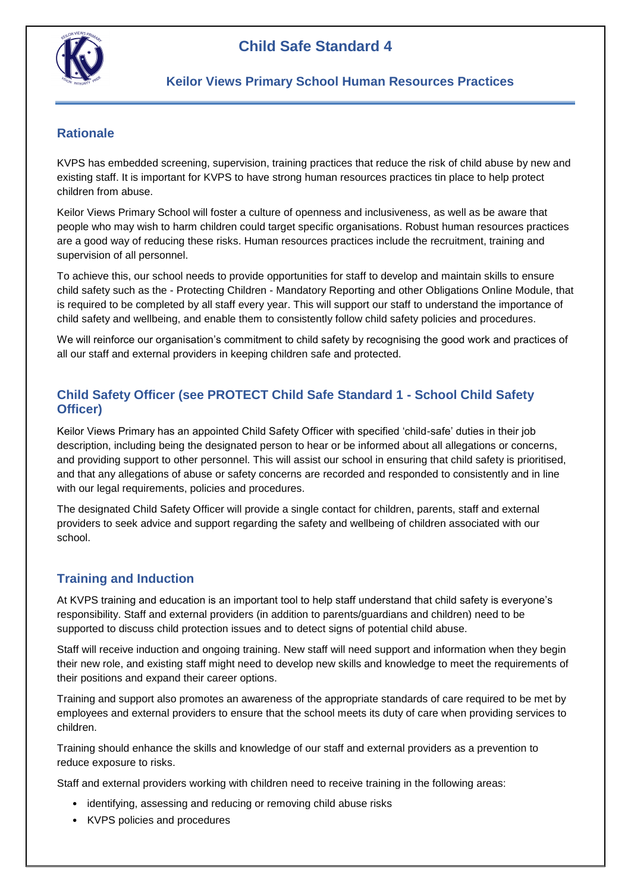



### **Rationale**

KVPS has embedded screening, supervision, training practices that reduce the risk of child abuse by new and existing staff. It is important for KVPS to have strong human resources practices tin place to help protect children from abuse.

Keilor Views Primary School will foster a culture of openness and inclusiveness, as well as be aware that people who may wish to harm children could target specific organisations. Robust human resources practices are a good way of reducing these risks. Human resources practices include the recruitment, training and supervision of all personnel.

To achieve this, our school needs to provide opportunities for staff to develop and maintain skills to ensure child safety such as the - Protecting Children - Mandatory Reporting and other Obligations Online Module, that is required to be completed by all staff every year. This will support our staff to understand the importance of child safety and wellbeing, and enable them to consistently follow child safety policies and procedures.

We will reinforce our organisation's commitment to child safety by recognising the good work and practices of all our staff and external providers in keeping children safe and protected.

### **Child Safety Officer (see PROTECT Child Safe Standard 1 - School Child Safety Officer)**

Keilor Views Primary has an appointed Child Safety Officer with specified 'child-safe' duties in their job description, including being the designated person to hear or be informed about all allegations or concerns, and providing support to other personnel. This will assist our school in ensuring that child safety is prioritised, and that any allegations of abuse or safety concerns are recorded and responded to consistently and in line with our legal requirements, policies and procedures.

The designated Child Safety Officer will provide a single contact for children, parents, staff and external providers to seek advice and support regarding the safety and wellbeing of children associated with our school.

## **Training and Induction**

At KVPS training and education is an important tool to help staff understand that child safety is everyone's responsibility. Staff and external providers (in addition to parents/guardians and children) need to be supported to discuss child protection issues and to detect signs of potential child abuse.

Staff will receive induction and ongoing training. New staff will need support and information when they begin their new role, and existing staff might need to develop new skills and knowledge to meet the requirements of their positions and expand their career options.

Training and support also promotes an awareness of the appropriate standards of care required to be met by employees and external providers to ensure that the school meets its duty of care when providing services to children.

Training should enhance the skills and knowledge of our staff and external providers as a prevention to reduce exposure to risks.

Staff and external providers working with children need to receive training in the following areas:

- identifying, assessing and reducing or removing child abuse risks
- KVPS policies and procedures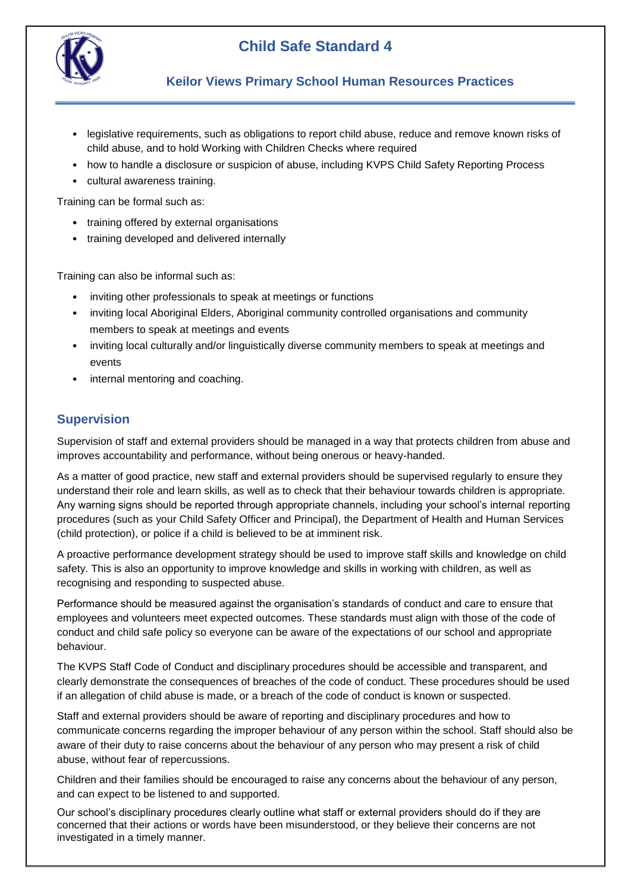

# **Child Safe Standard 4**

#### **Keilor Views Primary School Human Resources Practices**

- legislative requirements, such as obligations to report child abuse, reduce and remove known risks of child abuse, and to hold Working with Children Checks where required
- how to handle a disclosure or suspicion of abuse, including KVPS Child Safety Reporting Process
- cultural awareness training.

Training can be formal such as:

- training offered by external organisations
- training developed and delivered internally

Training can also be informal such as:

- inviting other professionals to speak at meetings or functions
- inviting local Aboriginal Elders, Aboriginal community controlled organisations and community members to speak at meetings and events
- inviting local culturally and/or linguistically diverse community members to speak at meetings and events
- internal mentoring and coaching.

#### **Supervision**

Supervision of staff and external providers should be managed in a way that protects children from abuse and improves accountability and performance, without being onerous or heavy-handed.

As a matter of good practice, new staff and external providers should be supervised regularly to ensure they understand their role and learn skills, as well as to check that their behaviour towards children is appropriate. Any warning signs should be reported through appropriate channels, including your school's internal reporting procedures (such as your Child Safety Officer and Principal), the Department of Health and Human Services (child protection), or police if a child is believed to be at imminent risk.

A proactive performance development strategy should be used to improve staff skills and knowledge on child safety. This is also an opportunity to improve knowledge and skills in working with children, as well as recognising and responding to suspected abuse.

Performance should be measured against the organisation's standards of conduct and care to ensure that employees and volunteers meet expected outcomes. These standards must align with those of the code of conduct and child safe policy so everyone can be aware of the expectations of our school and appropriate behaviour.

The KVPS Staff Code of Conduct and disciplinary procedures should be accessible and transparent, and clearly demonstrate the consequences of breaches of the code of conduct. These procedures should be used if an allegation of child abuse is made, or a breach of the code of conduct is known or suspected.

Staff and external providers should be aware of reporting and disciplinary procedures and how to communicate concerns regarding the improper behaviour of any person within the school. Staff should also be aware of their duty to raise concerns about the behaviour of any person who may present a risk of child abuse, without fear of repercussions.

Children and their families should be encouraged to raise any concerns about the behaviour of any person, and can expect to be listened to and supported.

Our school's disciplinary procedures clearly outline what staff or external providers should do if they are concerned that their actions or words have been misunderstood, or they believe their concerns are not investigated in a timely manner.